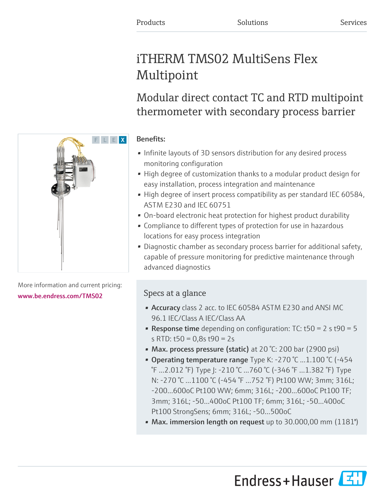# iTHERM TMS02 MultiSens Flex Multipoint

Modular direct contact TC and RTD multipoint thermometer with secondary process barrier

# Benefits:

- Infinite layouts of 3D sensors distribution for any desired process monitoring configuration
- High degree of customization thanks to a modular product design for easy installation, process integration and maintenance
- High degree of insert process compatibility as per standard IEC 60584, ASTM E230 and IEC 60751
- On-board electronic heat protection for highest product durability
- Compliance to different types of protection for use in hazardous locations for easy process integration
- Diagnostic chamber as secondary process barrier for additional safety, capable of pressure monitoring for predictive maintenance through advanced diagnostics

# Specs at a glance

- Accuracy class 2 acc. to IEC 60584 ASTM E230 and ANSI MC 96.1 IEC/Class A IEC/Class AA
- **Response time** depending on configuration:  $TC: t50 = 2 s t90 = 5$ s RTD: t50 = 0,8s t90 = 2s
- Max. process pressure (static) at 20 °C: 200 bar (2900 psi)
- Operating temperature range Type K: -270  $°C$  ...1.100  $°C$  (-454 °F ...2.012 °F) Type J: -210 °C ...760 °C (-346 °F ...1.382 °F) Type N: -270 °C …1100 °C (-454 °F ...752 °F) Pt100 WW; 3mm; 316L; -200...600oC Pt100 WW; 6mm; 316L; -200...600oC Pt100 TF; 3mm; 316L; -50…400oC Pt100 TF; 6mm; 316L; -50…400oC Pt100 StrongSens; 6mm; 316L; -50…500oC
- Max. immersion length on request up to 30.000,00 mm (1181')



More information and current pricing: [www.be.endress.com/TMS02](https://www.be.endress.com/TMS02)

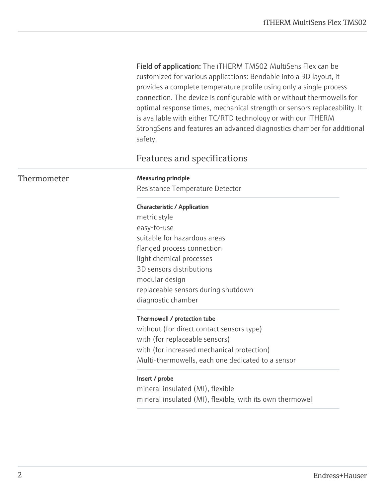Field of application: The iTHERM TMS02 MultiSens Flex can be customized for various applications: Bendable into a 3D layout, it provides a complete temperature profile using only a single process connection. The device is configurable with or without thermowells for optimal response times, mechanical strength or sensors replaceability. It is available with either TC/RTD technology or with our iTHERM StrongSens and features an advanced diagnostics chamber for additional safety.

# Features and specifications

#### Thermometer Measuring principle

Resistance Temperature Detector

#### Characteristic / Application

metric style easy-to-use suitable for hazardous areas flanged process connection light chemical processes 3D sensors distributions modular design replaceable sensors during shutdown diagnostic chamber

#### Thermowell / protection tube

without (for direct contact sensors type) with (for replaceable sensors) with (for increased mechanical protection) Multi-thermowells, each one dedicated to a sensor

#### Insert / probe

mineral insulated (MI), flexible mineral insulated (MI), flexible, with its own thermowell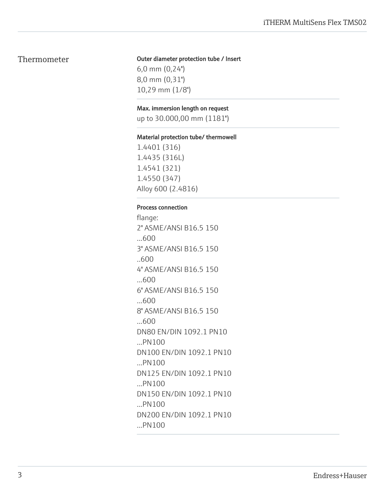## Thermometer

#### Outer diameter protection tube / Insert

6,0 mm (0,24'') 8,0 mm (0,31") 10,29 mm (1/8")

#### Max. immersion length on request

up to 30.000,00 mm (1181'')

#### Material protection tube/ thermowell

1.4401 (316) 1.4435 (316L) 1.4541 (321) 1.4550 (347) Alloy 600 (2.4816)

#### Process connection

flange: 2" ASME/ANSI B16.5 150 ...600 3" ASME/ANSI B16.5 150 ..600 4" ASME/ANSI B16.5 150 ...600 6" ASME/ANSI B16.5 150 ...600 8" ASME/ANSI B16.5 150 ...600 DN80 EN/DIN 1092.1 PN10 ...PN100 DN100 EN/DIN 1092.1 PN10 ...PN100 DN125 EN/DIN 1092.1 PN10 ...PN100 DN150 EN/DIN 1092.1 PN10 ...PN100 DN200 EN/DIN 1092.1 PN10 ...PN100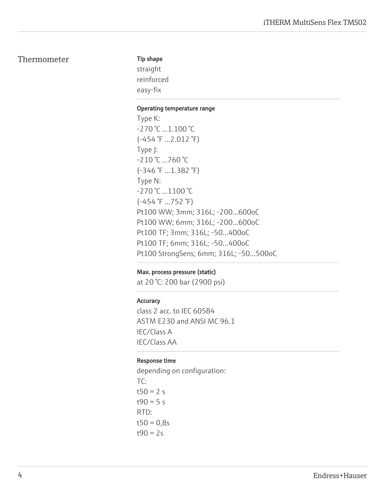### Thermometer

#### Tip shape

straight reinforced easy-fix

#### Operating temperature range

Type K: -270 °C ...1.100 °C (-454 °F ...2.012 °F) Type J: -210 °C ...760 °C (-346 °F ...1.382 °F) Type N: -270 °C …1100 °C (-454 °F ...752 °F) Pt100 WW; 3mm; 316L; -200...600oC Pt100 WW; 6mm; 316L; -200...600oC Pt100 TF; 3mm; 316L; -50…400oC Pt100 TF; 6mm; 316L; -50…400oC Pt100 StrongSens; 6mm; 316L; -50…500oC

#### Max. process pressure (static)

at 20 °C: 200 bar (2900 psi)

#### **Accuracy**

class 2 acc. to IEC 60584 ASTM E230 and ANSI MC 96.1 IEC/Class A IEC/Class AA

#### Response time

depending on configuration: TC:  $t50 = 2 s$  $t90 = 5 s$ RTD:  $t50 = 0.8s$  $t90 = 2s$